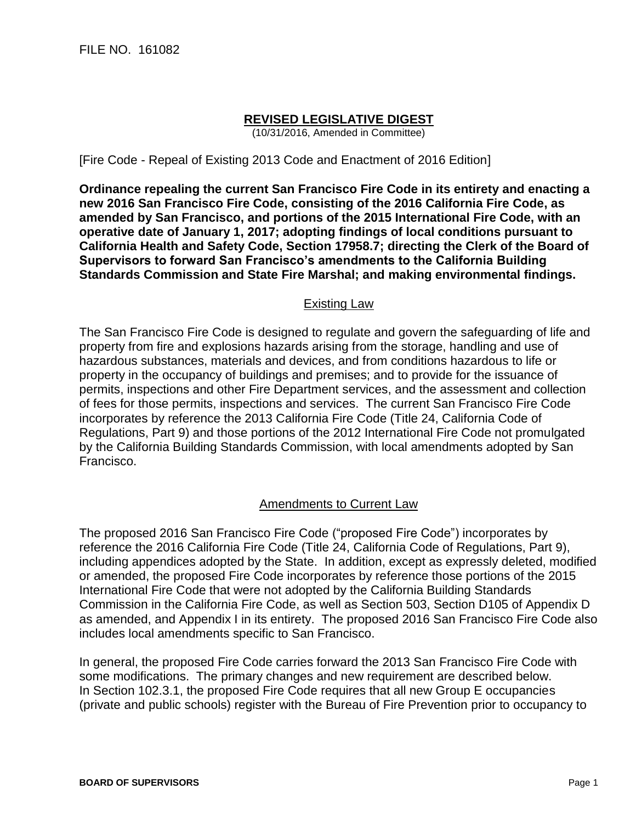## **REVISED LEGISLATIVE DIGEST**

(10/31/2016, Amended in Committee)

[Fire Code - Repeal of Existing 2013 Code and Enactment of 2016 Edition]

**Ordinance repealing the current San Francisco Fire Code in its entirety and enacting a new 2016 San Francisco Fire Code, consisting of the 2016 California Fire Code, as amended by San Francisco, and portions of the 2015 International Fire Code, with an operative date of January 1, 2017; adopting findings of local conditions pursuant to California Health and Safety Code, Section 17958.7; directing the Clerk of the Board of Supervisors to forward San Francisco's amendments to the California Building Standards Commission and State Fire Marshal; and making environmental findings.**

## Existing Law

The San Francisco Fire Code is designed to regulate and govern the safeguarding of life and property from fire and explosions hazards arising from the storage, handling and use of hazardous substances, materials and devices, and from conditions hazardous to life or property in the occupancy of buildings and premises; and to provide for the issuance of permits, inspections and other Fire Department services, and the assessment and collection of fees for those permits, inspections and services. The current San Francisco Fire Code incorporates by reference the 2013 California Fire Code (Title 24, California Code of Regulations, Part 9) and those portions of the 2012 International Fire Code not promulgated by the California Building Standards Commission, with local amendments adopted by San Francisco.

## Amendments to Current Law

The proposed 2016 San Francisco Fire Code ("proposed Fire Code") incorporates by reference the 2016 California Fire Code (Title 24, California Code of Regulations, Part 9), including appendices adopted by the State. In addition, except as expressly deleted, modified or amended, the proposed Fire Code incorporates by reference those portions of the 2015 International Fire Code that were not adopted by the California Building Standards Commission in the California Fire Code, as well as Section 503, Section D105 of Appendix D as amended, and Appendix I in its entirety. The proposed 2016 San Francisco Fire Code also includes local amendments specific to San Francisco.

In general, the proposed Fire Code carries forward the 2013 San Francisco Fire Code with some modifications. The primary changes and new requirement are described below. In Section 102.3.1, the proposed Fire Code requires that all new Group E occupancies (private and public schools) register with the Bureau of Fire Prevention prior to occupancy to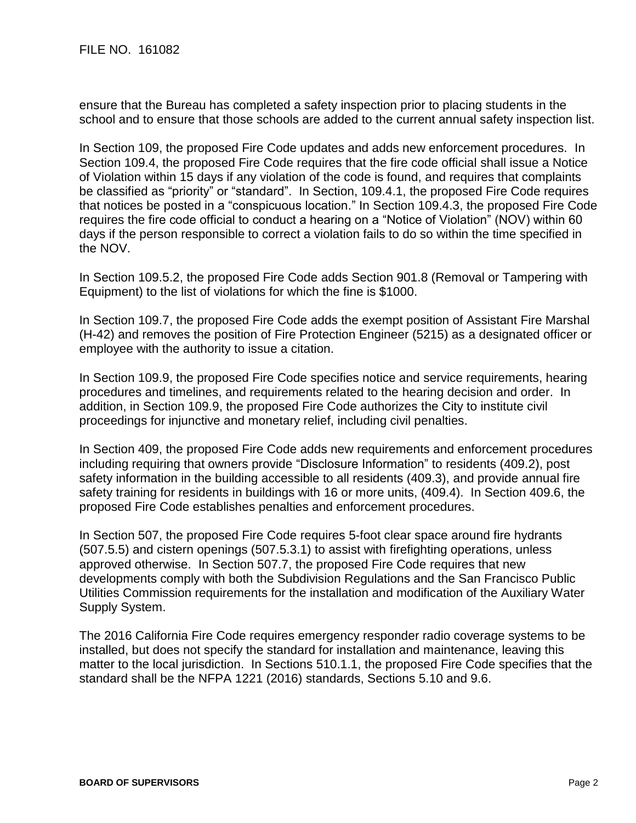ensure that the Bureau has completed a safety inspection prior to placing students in the school and to ensure that those schools are added to the current annual safety inspection list.

In Section 109, the proposed Fire Code updates and adds new enforcement procedures. In Section 109.4, the proposed Fire Code requires that the fire code official shall issue a Notice of Violation within 15 days if any violation of the code is found, and requires that complaints be classified as "priority" or "standard". In Section, 109.4.1, the proposed Fire Code requires that notices be posted in a "conspicuous location." In Section 109.4.3, the proposed Fire Code requires the fire code official to conduct a hearing on a "Notice of Violation" (NOV) within 60 days if the person responsible to correct a violation fails to do so within the time specified in the NOV.

In Section 109.5.2, the proposed Fire Code adds Section 901.8 (Removal or Tampering with Equipment) to the list of violations for which the fine is \$1000.

In Section 109.7, the proposed Fire Code adds the exempt position of Assistant Fire Marshal (H-42) and removes the position of Fire Protection Engineer (5215) as a designated officer or employee with the authority to issue a citation.

In Section 109.9, the proposed Fire Code specifies notice and service requirements, hearing procedures and timelines, and requirements related to the hearing decision and order. In addition, in Section 109.9, the proposed Fire Code authorizes the City to institute civil proceedings for injunctive and monetary relief, including civil penalties.

In Section 409, the proposed Fire Code adds new requirements and enforcement procedures including requiring that owners provide "Disclosure Information" to residents (409.2), post safety information in the building accessible to all residents (409.3), and provide annual fire safety training for residents in buildings with 16 or more units, (409.4). In Section 409.6, the proposed Fire Code establishes penalties and enforcement procedures.

In Section 507, the proposed Fire Code requires 5-foot clear space around fire hydrants (507.5.5) and cistern openings (507.5.3.1) to assist with firefighting operations, unless approved otherwise. In Section 507.7, the proposed Fire Code requires that new developments comply with both the Subdivision Regulations and the San Francisco Public Utilities Commission requirements for the installation and modification of the Auxiliary Water Supply System.

The 2016 California Fire Code requires emergency responder radio coverage systems to be installed, but does not specify the standard for installation and maintenance, leaving this matter to the local jurisdiction. In Sections 510.1.1, the proposed Fire Code specifies that the standard shall be the NFPA 1221 (2016) standards, Sections 5.10 and 9.6.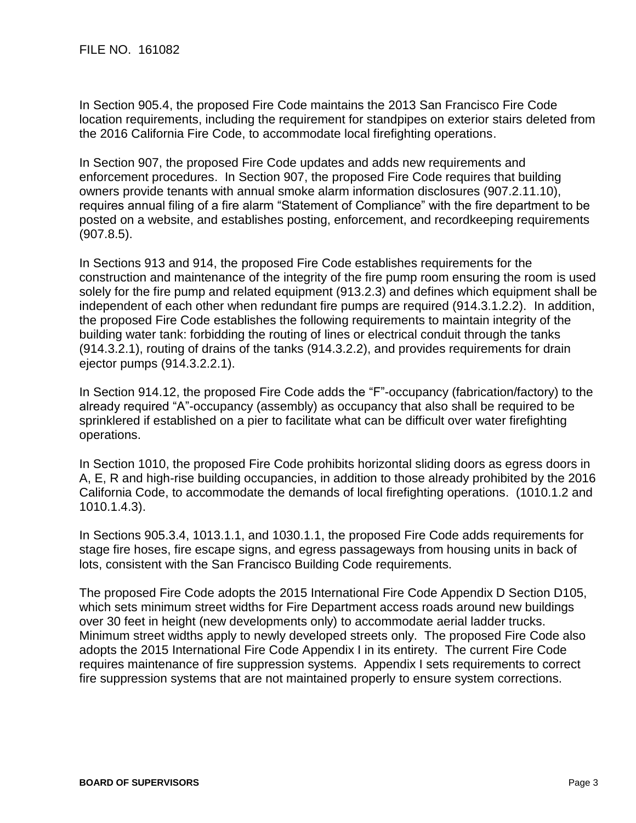In Section 905.4, the proposed Fire Code maintains the 2013 San Francisco Fire Code location requirements, including the requirement for standpipes on exterior stairs deleted from the 2016 California Fire Code, to accommodate local firefighting operations.

In Section 907, the proposed Fire Code updates and adds new requirements and enforcement procedures. In Section 907, the proposed Fire Code requires that building owners provide tenants with annual smoke alarm information disclosures (907.2.11.10), requires annual filing of a fire alarm "Statement of Compliance" with the fire department to be posted on a website, and establishes posting, enforcement, and recordkeeping requirements (907.8.5).

In Sections 913 and 914, the proposed Fire Code establishes requirements for the construction and maintenance of the integrity of the fire pump room ensuring the room is used solely for the fire pump and related equipment (913.2.3) and defines which equipment shall be independent of each other when redundant fire pumps are required (914.3.1.2.2). In addition, the proposed Fire Code establishes the following requirements to maintain integrity of the building water tank: forbidding the routing of lines or electrical conduit through the tanks (914.3.2.1), routing of drains of the tanks (914.3.2.2), and provides requirements for drain ejector pumps (914.3.2.2.1).

In Section 914.12, the proposed Fire Code adds the "F"-occupancy (fabrication/factory) to the already required "A"-occupancy (assembly) as occupancy that also shall be required to be sprinklered if established on a pier to facilitate what can be difficult over water firefighting operations.

In Section 1010, the proposed Fire Code prohibits horizontal sliding doors as egress doors in A, E, R and high-rise building occupancies, in addition to those already prohibited by the 2016 California Code, to accommodate the demands of local firefighting operations. (1010.1.2 and 1010.1.4.3).

In Sections 905.3.4, 1013.1.1, and 1030.1.1, the proposed Fire Code adds requirements for stage fire hoses, fire escape signs, and egress passageways from housing units in back of lots, consistent with the San Francisco Building Code requirements.

The proposed Fire Code adopts the 2015 International Fire Code Appendix D Section D105, which sets minimum street widths for Fire Department access roads around new buildings over 30 feet in height (new developments only) to accommodate aerial ladder trucks. Minimum street widths apply to newly developed streets only. The proposed Fire Code also adopts the 2015 International Fire Code Appendix I in its entirety. The current Fire Code requires maintenance of fire suppression systems. Appendix I sets requirements to correct fire suppression systems that are not maintained properly to ensure system corrections.